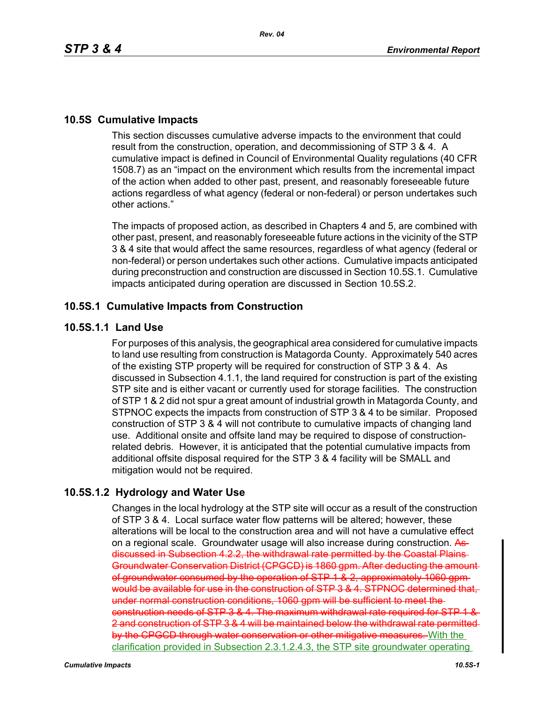# **10.5S Cumulative Impacts**

This section discusses cumulative adverse impacts to the environment that could result from the construction, operation, and decommissioning of STP 3 & 4. A cumulative impact is defined in Council of Environmental Quality regulations (40 CFR 1508.7) as an "impact on the environment which results from the incremental impact of the action when added to other past, present, and reasonably foreseeable future actions regardless of what agency (federal or non-federal) or person undertakes such other actions."

The impacts of proposed action, as described in Chapters 4 and 5, are combined with other past, present, and reasonably foreseeable future actions in the vicinity of the STP 3 & 4 site that would affect the same resources, regardless of what agency (federal or non-federal) or person undertakes such other actions. Cumulative impacts anticipated during preconstruction and construction are discussed in Section 10.5S.1. Cumulative impacts anticipated during operation are discussed in Section 10.5S.2.

# **10.5S.1 Cumulative Impacts from Construction**

# **10.5S.1.1 Land Use**

For purposes of this analysis, the geographical area considered for cumulative impacts to land use resulting from construction is Matagorda County. Approximately 540 acres of the existing STP property will be required for construction of STP 3 & 4. As discussed in Subsection 4.1.1, the land required for construction is part of the existing STP site and is either vacant or currently used for storage facilities. The construction of STP 1 & 2 did not spur a great amount of industrial growth in Matagorda County, and STPNOC expects the impacts from construction of STP 3 & 4 to be similar. Proposed construction of STP 3 & 4 will not contribute to cumulative impacts of changing land use. Additional onsite and offsite land may be required to dispose of constructionrelated debris. However, it is anticipated that the potential cumulative impacts from additional offsite disposal required for the STP 3 & 4 facility will be SMALL and mitigation would not be required.

# **10.5S.1.2 Hydrology and Water Use**

Changes in the local hydrology at the STP site will occur as a result of the construction of STP 3 & 4. Local surface water flow patterns will be altered; however, these alterations will be local to the construction area and will not have a cumulative effect on a regional scale. Groundwater usage will also increase during construction. As discussed in Subsection 4.2.2, the withdrawal rate permitted by the Coastal Plains Groundwater Conservation District (CPGCD) is 1860 gpm. After deducting the amount of groundwater consumed by the operation of STP 1 & 2, approximately 1060 gpm would be available for use in the construction of STP 3 & 4. STPNOC determined that, under normal construction conditions, 1060 gpm will be sufficient to meet the construction needs of STP 3 & 4. The maximum withdrawal rate required for STP 1 & 2 and construction of STP 3 & 4 will be maintained below the withdrawal rate permitted by the CPGCD through water conservation or other mitigative measures. With the clarification provided in Subsection 2.3.1.2.4.3, the STP site groundwater operating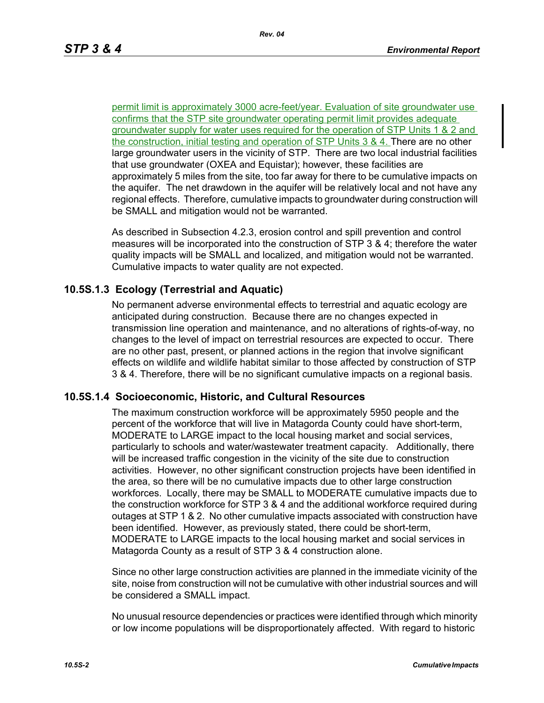permit limit is approximately 3000 acre-feet/year. Evaluation of site groundwater use confirms that the STP site groundwater operating permit limit provides adequate groundwater supply for water uses required for the operation of STP Units 1 & 2 and the construction, initial testing and operation of STP Units 3 & 4. There are no other large groundwater users in the vicinity of STP. There are two local industrial facilities that use groundwater (OXEA and Equistar); however, these facilities are approximately 5 miles from the site, too far away for there to be cumulative impacts on the aquifer. The net drawdown in the aquifer will be relatively local and not have any regional effects. Therefore, cumulative impacts to groundwater during construction will be SMALL and mitigation would not be warranted.

As described in Subsection 4.2.3, erosion control and spill prevention and control measures will be incorporated into the construction of STP 3 & 4; therefore the water quality impacts will be SMALL and localized, and mitigation would not be warranted. Cumulative impacts to water quality are not expected.

## **10.5S.1.3 Ecology (Terrestrial and Aquatic)**

No permanent adverse environmental effects to terrestrial and aquatic ecology are anticipated during construction. Because there are no changes expected in transmission line operation and maintenance, and no alterations of rights-of-way, no changes to the level of impact on terrestrial resources are expected to occur. There are no other past, present, or planned actions in the region that involve significant effects on wildlife and wildlife habitat similar to those affected by construction of STP 3 & 4. Therefore, there will be no significant cumulative impacts on a regional basis.

## **10.5S.1.4 Socioeconomic, Historic, and Cultural Resources**

The maximum construction workforce will be approximately 5950 people and the percent of the workforce that will live in Matagorda County could have short-term, MODERATE to LARGE impact to the local housing market and social services, particularly to schools and water/wastewater treatment capacity. Additionally, there will be increased traffic congestion in the vicinity of the site due to construction activities. However, no other significant construction projects have been identified in the area, so there will be no cumulative impacts due to other large construction workforces. Locally, there may be SMALL to MODERATE cumulative impacts due to the construction workforce for STP 3 & 4 and the additional workforce required during outages at STP 1 & 2. No other cumulative impacts associated with construction have been identified. However, as previously stated, there could be short-term, MODERATE to LARGE impacts to the local housing market and social services in Matagorda County as a result of STP 3 & 4 construction alone.

Since no other large construction activities are planned in the immediate vicinity of the site, noise from construction will not be cumulative with other industrial sources and will be considered a SMALL impact.

No unusual resource dependencies or practices were identified through which minority or low income populations will be disproportionately affected. With regard to historic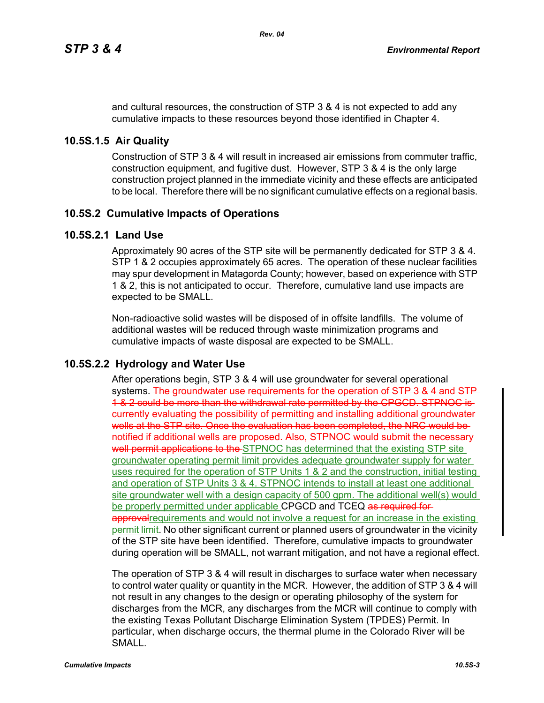and cultural resources, the construction of STP 3 & 4 is not expected to add any cumulative impacts to these resources beyond those identified in Chapter 4.

## **10.5S.1.5 Air Quality**

Construction of STP 3 & 4 will result in increased air emissions from commuter traffic, construction equipment, and fugitive dust. However, STP 3 & 4 is the only large construction project planned in the immediate vicinity and these effects are anticipated to be local. Therefore there will be no significant cumulative effects on a regional basis.

# **10.5S.2 Cumulative Impacts of Operations**

## **10.5S.2.1 Land Use**

Approximately 90 acres of the STP site will be permanently dedicated for STP 3 & 4. STP 1 & 2 occupies approximately 65 acres. The operation of these nuclear facilities may spur development in Matagorda County; however, based on experience with STP 1 & 2, this is not anticipated to occur. Therefore, cumulative land use impacts are expected to be SMALL.

Non-radioactive solid wastes will be disposed of in offsite landfills. The volume of additional wastes will be reduced through waste minimization programs and cumulative impacts of waste disposal are expected to be SMALL.

# **10.5S.2.2 Hydrology and Water Use**

After operations begin, STP 3 & 4 will use groundwater for several operational systems. The groundwater use requirements for the operation of STP 3 & 4 and STP 1 & 2 could be more than the withdrawal rate permitted by the CPGCD. STPNOC is currently evaluating the possibility of permitting and installing additional groundwater wells at the STP site. Once the evaluation has been completed, the NRC would benotified if additional wells are proposed. Also, STPNOC would submit the necessary well permit applications to the STPNOC has determined that the existing STP site groundwater operating permit limit provides adequate groundwater supply for water uses required for the operation of STP Units 1 & 2 and the construction, initial testing and operation of STP Units 3 & 4. STPNOC intends to install at least one additional site groundwater well with a design capacity of 500 gpm. The additional well(s) would be properly permitted under applicable CPGCD and TCEQ as required forapproval requirements and would not involve a request for an increase in the existing permit limit. No other significant current or planned users of groundwater in the vicinity of the STP site have been identified. Therefore, cumulative impacts to groundwater during operation will be SMALL, not warrant mitigation, and not have a regional effect.

The operation of STP 3 & 4 will result in discharges to surface water when necessary to control water quality or quantity in the MCR. However, the addition of STP 3 & 4 will not result in any changes to the design or operating philosophy of the system for discharges from the MCR, any discharges from the MCR will continue to comply with the existing Texas Pollutant Discharge Elimination System (TPDES) Permit. In particular, when discharge occurs, the thermal plume in the Colorado River will be SMALL.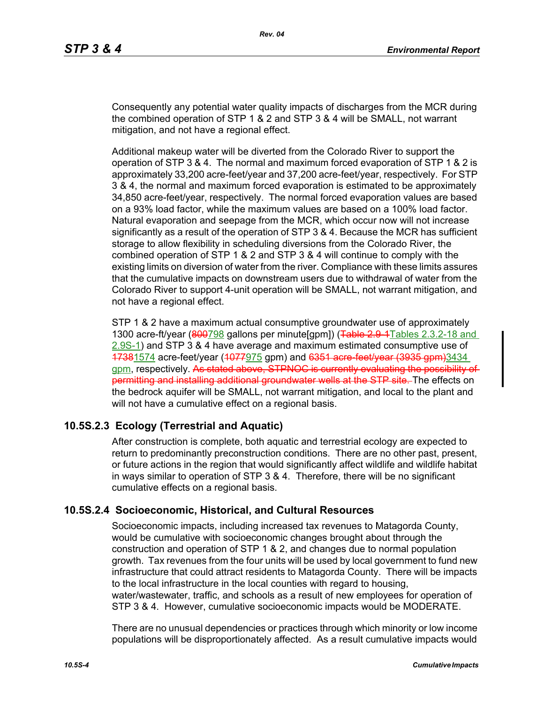Consequently any potential water quality impacts of discharges from the MCR during the combined operation of STP 1 & 2 and STP 3 & 4 will be SMALL, not warrant mitigation, and not have a regional effect.

Additional makeup water will be diverted from the Colorado River to support the operation of STP 3 & 4. The normal and maximum forced evaporation of STP 1 & 2 is approximately 33,200 acre-feet/year and 37,200 acre-feet/year, respectively. For STP 3 & 4, the normal and maximum forced evaporation is estimated to be approximately 34,850 acre-feet/year, respectively. The normal forced evaporation values are based on a 93% load factor, while the maximum values are based on a 100% load factor. Natural evaporation and seepage from the MCR, which occur now will not increase significantly as a result of the operation of STP 3 & 4. Because the MCR has sufficient storage to allow flexibility in scheduling diversions from the Colorado River, the combined operation of STP 1 & 2 and STP 3 & 4 will continue to comply with the existing limits on diversion of water from the river. Compliance with these limits assures that the cumulative impacts on downstream users due to withdrawal of water from the Colorado River to support 4-unit operation will be SMALL, not warrant mitigation, and not have a regional effect.

STP 1 & 2 have a maximum actual consumptive groundwater use of approximately 1300 acre-ft/year (800798 gallons per minute[gpm]) (Table 2.9-1 Tables 2.3.2-18 and 2.9S-1) and STP 3 & 4 have average and maximum estimated consumptive use of 17381574 acre-feet/year (1077975 gpm) and 6351 acre-feet/year (3935 gpm)3434 gpm, respectively. As stated above, STPNOC is currently evaluating the possibility of permitting and installing additional groundwater wells at the STP site. The effects on the bedrock aquifer will be SMALL, not warrant mitigation, and local to the plant and will not have a cumulative effect on a regional basis.

## **10.5S.2.3 Ecology (Terrestrial and Aquatic)**

After construction is complete, both aquatic and terrestrial ecology are expected to return to predominantly preconstruction conditions. There are no other past, present, or future actions in the region that would significantly affect wildlife and wildlife habitat in ways similar to operation of STP 3 & 4. Therefore, there will be no significant cumulative effects on a regional basis.

## **10.5S.2.4 Socioeconomic, Historical, and Cultural Resources**

Socioeconomic impacts, including increased tax revenues to Matagorda County, would be cumulative with socioeconomic changes brought about through the construction and operation of STP 1 & 2, and changes due to normal population growth. Tax revenues from the four units will be used by local government to fund new infrastructure that could attract residents to Matagorda County. There will be impacts to the local infrastructure in the local counties with regard to housing, water/wastewater, traffic, and schools as a result of new employees for operation of STP 3 & 4. However, cumulative socioeconomic impacts would be MODERATE.

There are no unusual dependencies or practices through which minority or low income populations will be disproportionately affected. As a result cumulative impacts would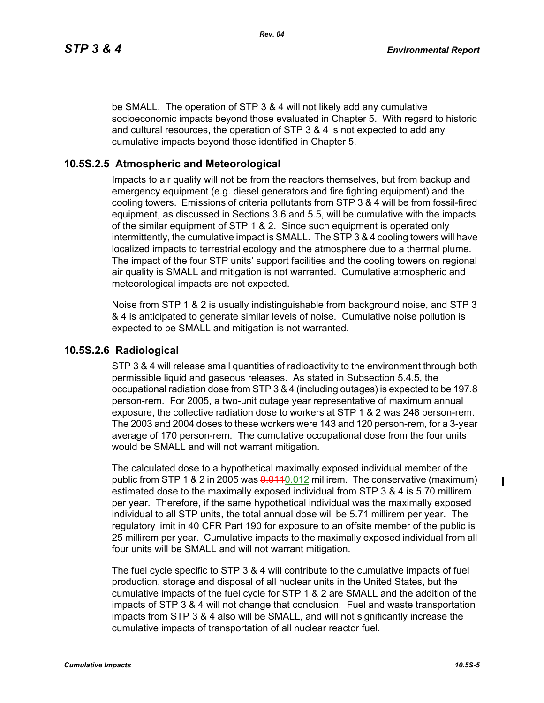*Rev. 04*

be SMALL. The operation of STP 3 & 4 will not likely add any cumulative socioeconomic impacts beyond those evaluated in Chapter 5. With regard to historic and cultural resources, the operation of STP 3 & 4 is not expected to add any cumulative impacts beyond those identified in Chapter 5.

#### **10.5S.2.5 Atmospheric and Meteorological**

Impacts to air quality will not be from the reactors themselves, but from backup and emergency equipment (e.g. diesel generators and fire fighting equipment) and the cooling towers. Emissions of criteria pollutants from STP 3 & 4 will be from fossil-fired equipment, as discussed in Sections 3.6 and 5.5, will be cumulative with the impacts of the similar equipment of STP 1 & 2. Since such equipment is operated only intermittently, the cumulative impact is SMALL. The STP 3 & 4 cooling towers will have localized impacts to terrestrial ecology and the atmosphere due to a thermal plume. The impact of the four STP units' support facilities and the cooling towers on regional air quality is SMALL and mitigation is not warranted. Cumulative atmospheric and meteorological impacts are not expected.

Noise from STP 1 & 2 is usually indistinguishable from background noise, and STP 3 & 4 is anticipated to generate similar levels of noise. Cumulative noise pollution is expected to be SMALL and mitigation is not warranted.

#### **10.5S.2.6 Radiological**

STP 3 & 4 will release small quantities of radioactivity to the environment through both permissible liquid and gaseous releases. As stated in Subsection 5.4.5, the occupational radiation dose from STP 3 & 4 (including outages) is expected to be 197.8 person-rem. For 2005, a two-unit outage year representative of maximum annual exposure, the collective radiation dose to workers at STP 1 & 2 was 248 person-rem. The 2003 and 2004 doses to these workers were 143 and 120 person-rem, for a 3-year average of 170 person-rem. The cumulative occupational dose from the four units would be SMALL and will not warrant mitigation.

The calculated dose to a hypothetical maximally exposed individual member of the public from STP 1 & 2 in 2005 was  $0.012$  millirem. The conservative (maximum) estimated dose to the maximally exposed individual from STP 3 & 4 is 5.70 millirem per year. Therefore, if the same hypothetical individual was the maximally exposed individual to all STP units, the total annual dose will be 5.71 millirem per year. The regulatory limit in 40 CFR Part 190 for exposure to an offsite member of the public is 25 millirem per year. Cumulative impacts to the maximally exposed individual from all four units will be SMALL and will not warrant mitigation.

The fuel cycle specific to STP 3 & 4 will contribute to the cumulative impacts of fuel production, storage and disposal of all nuclear units in the United States, but the cumulative impacts of the fuel cycle for STP 1 & 2 are SMALL and the addition of the impacts of STP 3 & 4 will not change that conclusion. Fuel and waste transportation impacts from STP 3 & 4 also will be SMALL, and will not significantly increase the cumulative impacts of transportation of all nuclear reactor fuel.

ı